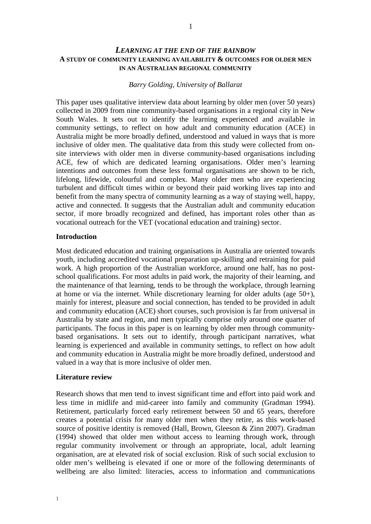# *LEARNING AT THE END OF THE RAINBOW* **A STUDY OF COMMUNITY LEARNING AVAILABILITY & OUTCOMES FOR OLDER MEN IN AN AUSTRALIAN REGIONAL COMMUNITY**

# *Barry Golding, University of Ballarat*

This paper uses qualitative interview data about learning by older men (over 50 years) collected in 2009 from nine community-based organisations in a regional city in New South Wales. It sets out to identify the learning experienced and available in community settings, to reflect on how adult and community education (ACE) in Australia might be more broadly defined, understood and valued in ways that is more inclusive of older men. The qualitative data from this study were collected from onsite interviews with older men in diverse community-based organisations including ACE, few of which are dedicated learning organisations. Older men's learning intentions and outcomes from these less formal organisations are shown to be rich, lifelong, lifewide, colourful and complex. Many older men who are experiencing turbulent and difficult times within or beyond their paid working lives tap into and benefit from the many spectra of community learning as a way of staying well, happy, active and connected. It suggests that the Australian adult and community education sector, if more broadly recognized and defined, has important roles other than as vocational outreach for the VET (vocational education and training) sector.

# **Introduction**

Most dedicated education and training organisations in Australia are oriented towards youth, including accredited vocational preparation up-skilling and retraining for paid work. A high proportion of the Australian workforce, around one half, has no postschool qualifications. For most adults in paid work, the majority of their learning, and the maintenance of that learning, tends to be through the workplace, through learning at home or via the internet. While discretionary learning for older adults (age 50+), mainly for interest, pleasure and social connection, has tended to be provided in adult and community education (ACE) short courses, such provision is far from universal in Australia by state and region, and men typically comprise only around one quarter of participants. The focus in this paper is on learning by older men through communitybased organisations. It sets out to identify, through participant narratives, what learning is experienced and available in community settings, to reflect on how adult and community education in Australia might be more broadly defined, understood and valued in a way that is more inclusive of older men.

#### **Literature review**

Research shows that men tend to invest significant time and effort into paid work and less time in midlife and mid-career into family and community (Gradman 1994). Retirement, particularly forced early retirement between 50 and 65 years, therefore creates a potential crisis for many older men when they retire, as this work-based source of positive identity is removed (Hall, Brown, Gleeson & Zinn 2007). Gradman (1994) showed that older men without access to learning through work, through regular community involvement or through an appropriate, local, adult learning organisation, are at elevated risk of social exclusion. Risk of such social exclusion to older men's wellbeing is elevated if one or more of the following determinants of wellbeing are also limited: literacies, access to information and communications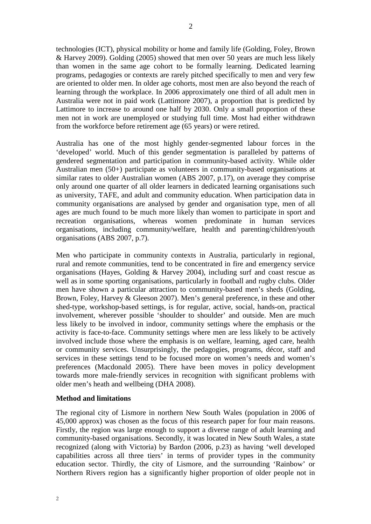technologies (ICT), physical mobility or home and family life (Golding, Foley, Brown & Harvey 2009). Golding (2005) showed that men over 50 years are much less likely than women in the same age cohort to be formally learning. Dedicated learning programs, pedagogies or contexts are rarely pitched specifically to men and very few are oriented to older men. In older age cohorts, most men are also beyond the reach of learning through the workplace. In 2006 approximately one third of all adult men in Australia were not in paid work (Lattimore 2007), a proportion that is predicted by Lattimore to increase to around one half by 2030. Only a small proportion of these men not in work are unemployed or studying full time. Most had either withdrawn from the workforce before retirement age (65 years) or were retired.

Australia has one of the most highly gender-segmented labour forces in the 'developed' world. Much of this gender segmentation is paralleled by patterns of gendered segmentation and participation in community-based activity. While older Australian men (50+) participate as volunteers in community-based organisations at similar rates to older Australian women (ABS 2007, p.17), on average they comprise only around one quarter of all older learners in dedicated learning organisations such as university, TAFE, and adult and community education. When participation data in community organisations are analysed by gender and organisation type, men of all ages are much found to be much more likely than women to participate in sport and recreation organisations, whereas women predominate in human services organisations, including community/welfare, health and parenting/children/youth organisations (ABS 2007, p.7).

Men who participate in community contexts in Australia, particularly in regional, rural and remote communities, tend to be concentrated in fire and emergency service organisations (Hayes, Golding & Harvey 2004), including surf and coast rescue as well as in some sporting organisations, particularly in football and rugby clubs. Older men have shown a particular attraction to community-based men's sheds (Golding, Brown, Foley, Harvey & Gleeson 2007). Men's general preference, in these and other shed-type, workshop-based settings, is for regular, active, social, hands-on, practical involvement, wherever possible 'shoulder to shoulder' and outside. Men are much less likely to be involved in indoor, community settings where the emphasis or the activity is face-to-face. Community settings where men are less likely to be actively involved include those where the emphasis is on welfare, learning, aged care, health or community services. Unsurprisingly, the pedagogies, programs, décor, staff and services in these settings tend to be focused more on women's needs and women's preferences (Macdonald 2005). There have been moves in policy development towards more male-friendly services in recognition with significant problems with older men's heath and wellbeing (DHA 2008).

#### **Method and limitations**

The regional city of Lismore in northern New South Wales (population in 2006 of 45,000 approx) was chosen as the focus of this research paper for four main reasons. Firstly, the region was large enough to support a diverse range of adult learning and community-based organisations. Secondly, it was located in New South Wales, a state recognized (along with Victoria) by Bardon (2006, p.23) as having 'well developed capabilities across all three tiers' in terms of provider types in the community education sector. Thirdly, the city of Lismore, and the surrounding 'Rainbow' or Northern Rivers region has a significantly higher proportion of older people not in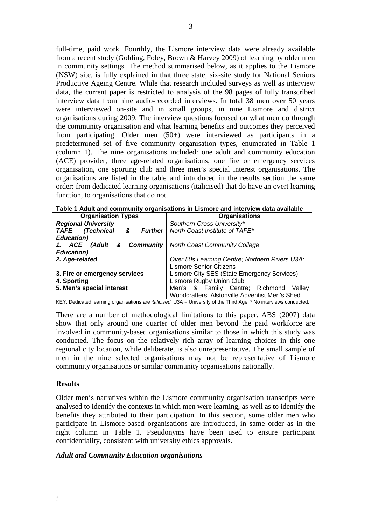full-time, paid work. Fourthly, the Lismore interview data were already available from a recent study (Golding, Foley, Brown & Harvey 2009) of learning by older men in community settings. The method summarised below, as it applies to the Lismore (NSW) site, is fully explained in that three state, six-site study for National Seniors Productive Ageing Centre. While that research included surveys as well as interview data, the current paper is restricted to analysis of the 98 pages of fully transcribed interview data from nine audio-recorded interviews. In total 38 men over 50 years were interviewed on-site and in small groups, in nine Lismore and district organisations during 2009. The interview questions focused on what men do through the community organisation and what learning benefits and outcomes they perceived from participating. Older men (50+) were interviewed as participants in a predetermined set of five community organisation types, enumerated in Table 1 (column 1). The nine organisations included: one adult and community education (ACE) provider, three age-related organisations, one fire or emergency services organisation, one sporting club and three men's special interest organisations. The organisations are listed in the table and introduced in the results section the same order: from dedicated learning organisations (italicised) that do have an overt learning function, to organisations that do not.

| <b>Organisation Types</b>                        | <b>Organisations</b>                           |  |
|--------------------------------------------------|------------------------------------------------|--|
| <b>Regional University</b>                       | Southern Cross University*                     |  |
| <b>TAFE</b><br>(Technical<br><b>Further</b><br>& | North Coast Institute of TAFE*                 |  |
| <b>Education</b> )                               |                                                |  |
| Community<br>1. ACE<br>(Adult<br>&               | <b>North Coast Community College</b>           |  |
| <b>Education</b> )                               |                                                |  |
| 2. Age-related                                   | Over 50s Learning Centre; Northern Rivers U3A; |  |
|                                                  | <b>Lismore Senior Citizens</b>                 |  |
| 3. Fire or emergency services                    | Lismore City SES (State Emergency Services)    |  |
| 4. Sporting                                      | Lismore Rugby Union Club                       |  |
| 5. Men's special interest                        | Men's & Family Centre; Richmond<br>Vallev      |  |
|                                                  | Woodcrafters; Alstonville Adventist Men's Shed |  |

|  | Table 1 Adult and community organisations in Lismore and interview data available |  |
|--|-----------------------------------------------------------------------------------|--|
|--|-----------------------------------------------------------------------------------|--|

KEY: Dedicated learning organisations are italicised; U3A = University of the Third Age; \* No interviews conducted.

There are a number of methodological limitations to this paper. ABS (2007) data show that only around one quarter of older men beyond the paid workforce are involved in community-based organisations similar to those in which this study was conducted. The focus on the relatively rich array of learning choices in this one regional city location, while deliberate, is also unrepresentative. The small sample of men in the nine selected organisations may not be representative of Lismore community organisations or similar community organisations nationally.

#### **Results**

Older men's narratives within the Lismore community organisation transcripts were analysed to identify the contexts in which men were learning, as well as to identify the benefits they attributed to their participation. In this section, some older men who participate in Lismore-based organisations are introduced, in same order as in the right column in Table 1. Pseudonyms have been used to ensure participant confidentiality, consistent with university ethics approvals.

#### *Adult and Community Education organisations*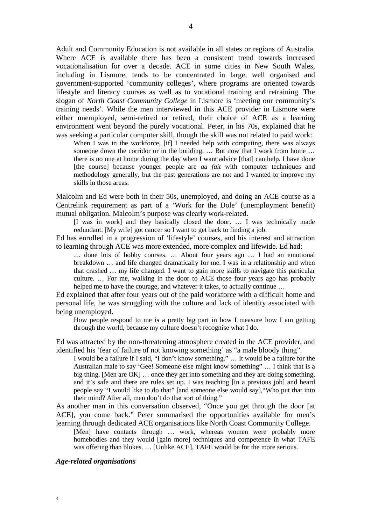Adult and Community Education is not available in all states or regions of Australia. Where ACE is available there has been a consistent trend towards increased vocationalisation for over a decade. ACE in some cities in New South Wales, including in Lismore, tends to be concentrated in large, well organised and government-supported 'community colleges', where programs are oriented towards lifestyle and literacy courses as well as to vocational training and retraining. The slogan of *North Coast Community College* in Lismore is 'meeting our community's training needs'. While the men interviewed in this ACE provider in Lismore were either unemployed, semi-retired or retired, their choice of ACE as a learning environment went beyond the purely vocational. Peter, in his 70s, explained that he was seeking a particular computer skill, though the skill was not related to paid work:

When I was in the workforce, [if] I needed help with computing, there was always someone down the corridor or in the building. ... But now that I work from home ... there is no one at home during the day when I want advice [that] can help. I have done [the course] because younger people are *au fait* with computer techniques and methodology generally, but the past generations are not and I wanted to improve my skills in those areas.

Malcolm and Ed were both in their 50s, unemployed, and doing an ACE course as a Centrelink requirement as part of a 'Work for the Dole' (unemployment benefit) mutual obligation. Malcolm's purpose was clearly work-related.

[I was in work] and they basically closed the door. … I was technically made redundant. [My wife] got cancer so I want to get back to finding a job.

Ed has enrolled in a progression of 'lifestyle' courses, and his interest and attraction to learning through ACE was more extended, more complex and lifewide. Ed had:

… done lots of hobby courses. … About four years ago … I had an emotional breakdown … and life changed dramatically for me. I was in a relationship and when that crashed … my life changed. I want to gain more skills to navigate this particular culture. … For me, walking in the door to ACE those four years ago has probably helped me to have the courage, and whatever it takes, to actually continue …

Ed explained that after four years out of the paid workforce with a difficult home and personal life, he was struggling with the culture and lack of identity associated with being unemployed.

How people respond to me is a pretty big part in how I measure how I am getting through the world, because my culture doesn't recognise what I do.

Ed was attracted by the non-threatening atmosphere created in the ACE provider, and identified his 'fear of failure of not knowing something' as "a male bloody thing".

I would be a failure if I said, "I don't know something." … It would be a failure for the Australian male to say 'Gee! Someone else might know something" … I think that is a big thing. [Men are OK] … once they get into something and they are doing something, and it's safe and there are rules set up. I was teaching [in a previous job] and heard people say "I would like to do that" [and someone else would say],"Who put that into their mind? After all, men don't do that sort of thing."

As another man in this conversation observed, "Once you get through the door [at ACE], you come back." Peter summarised the opportunities available for men's learning through dedicated ACE organisations like North Coast Community College.

[Men] have contacts through ... work, whereas women were probably more homebodies and they would [gain more] techniques and competence in what TAFE was offering than blokes. ... [Unlike ACE], TAFE would be for the more serious.

#### *Age-related organisations*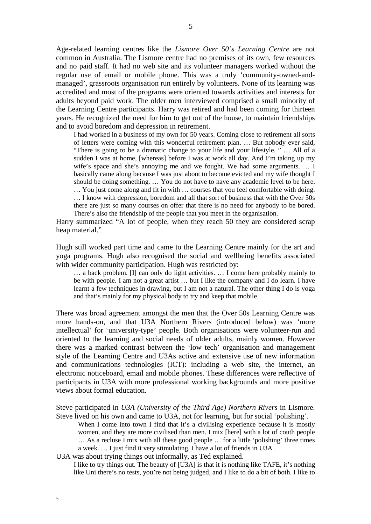Age-related learning centres like the *Lismore Over 50's Learning Centre* are not common in Australia. The Lismore centre had no premises of its own, few resources and no paid staff. It had no web site and its volunteer managers worked without the regular use of email or mobile phone. This was a truly 'community-owned-andmanaged', grassroots organisation run entirely by volunteers. None of its learning was accredited and most of the programs were oriented towards activities and interests for adults beyond paid work. The older men interviewed comprised a small minority of the Learning Centre participants. Harry was retired and had been coming for thirteen years. He recognized the need for him to get out of the house, to maintain friendships and to avoid boredom and depression in retirement.

I had worked in a business of my own for 50 years. Coming close to retirement all sorts of letters were coming with this wonderful retirement plan. … But nobody ever said, "There is going to be a dramatic change to your life and your lifestyle. " … All of a sudden I was at home, [whereas] before I was at work all day. And I'm taking up my wife's space and she's annoying me and we fought. We had some arguments. … I basically came along because I was just about to become evicted and my wife thought I should be doing something. … You do not have to have any academic level to be here. … You just come along and fit in with … courses that you feel comfortable with doing. … I know with depression, boredom and all that sort of business that with the Over 50s there are just so many courses on offer that there is no need for anybody to be bored. There's also the friendship of the people that you meet in the organisation.

Harry summarized "A lot of people, when they reach 50 they are considered scrap heap material."

Hugh still worked part time and came to the Learning Centre mainly for the art and yoga programs. Hugh also recognised the social and wellbeing benefits associated with wider community participation. Hugh was restricted by:

… a back problem. [I] can only do light activities. … I come here probably mainly to be with people. I am not a great artist … but I like the company and I do learn. I have learnt a few techniques in drawing, but I am not a natural. The other thing I do is yoga and that's mainly for my physical body to try and keep that mobile.

There was broad agreement amongst the men that the Over 50s Learning Centre was more hands-on, and that U3A Northern Rivers (introduced below) was 'more intellectual' for 'university-type' people. Both organisations were volunteer-run and oriented to the learning and social needs of older adults, mainly women. However there was a marked contrast between the 'low tech' organisation and management style of the Learning Centre and U3As active and extensive use of new information and communications technologies (ICT): including a web site, the internet, an electronic noticeboard, email and mobile phones. These differences were reflective of participants in U3A with more professional working backgrounds and more positive views about formal education.

Steve participated in *U3A (University of the Third Age) Northern Rivers* in Lismore. Steve lived on his own and came to U3A, not for learning, but for social 'polishing'.

When I come into town I find that it's a civilising experience because it is mostly women, and they are more civilised than men. I mix [here] with a lot of couth people … As a recluse I mix with all these good people … for a little 'polishing' three times a week. … I just find it very stimulating. I have a lot of friends in U3A .

U3A was about trying things out informally, as Ted explained.

I like to try things out. The beauty of [U3A] is that it is nothing like TAFE, it's nothing like Uni there's no tests, you're not being judged, and I like to do a bit of both. I like to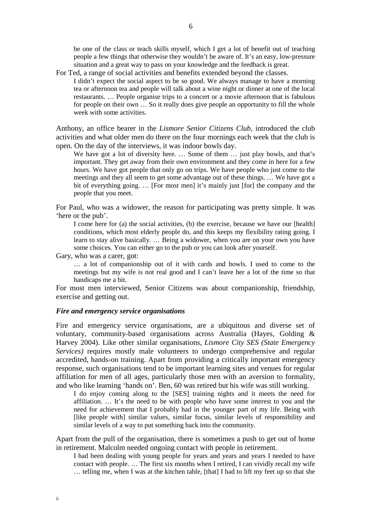be one of the class or teach skills myself, which I get a lot of benefit out of teaching people a few things that otherwise they wouldn't be aware of. It's an easy, low-pressure situation and a great way to pass on your knowledge and the feedback is great.

- For Ted, a range of social activities and benefits extended beyond the classes.
	- I didn't expect the social aspect to be so good. We always manage to have a morning tea or afternoon tea and people will talk about a wine night or dinner at one of the local restaurants. … People organise trips to a concert or a movie afternoon that is fabulous for people on their own … So it really does give people an opportunity to fill the whole week with some activities.

Anthony, an office bearer in the *Lismore Senior Citizens Club*, introduced the club activities and what older men do there on the four mornings each week that the club is open. On the day of the interviews, it was indoor bowls day.

We have got a lot of diversity here. ... Some of them ... just play bowls, and that's important. They get away from their own environment and they come in here for a few hours. We have got people that only go on trips. We have people who just come to the meetings and they all seem to get some advantage out of these things. … We have got a bit of everything going. … [For most men] it's mainly just [for] the company and the people that you meet.

For Paul, who was a widower, the reason for participating was pretty simple. It was 'here or the pub'.

I come here for (a) the social activities, (b) the exercise, because we have our [health] conditions, which most elderly people do, and this keeps my flexibility rating going. I learn to stay alive basically. … Being a widower, when you are on your own you have some choices. You can either go to the pub or you can look after yourself.

Gary, who was a carer, got:

… a lot of companionship out of it with cards and bowls. I used to come to the meetings but my wife is not real good and I can't leave her a lot of the time so that handicaps me a bit.

For most men interviewed, Senior Citizens was about companionship, friendship, exercise and getting out.

### *Fire and emergency service organisations*

Fire and emergency service organisations, are a ubiquitous and diverse set of voluntary, community-based organisations across Australia (Hayes, Golding & Harvey 2004). Like other similar organisations, *Lismore City SES (State Emergency Services*) requires mostly male volunteers to undergo comprehensive and regular accredited, hands-on training. Apart from providing a critically important emergency response, such organisations tend to be important learning sites and venues for regular affiliation for men of all ages, particularly those men with an aversion to formality, and who like learning 'hands on'. Ben, 60 was retired but his wife was still working.

I do enjoy coming along to the [SES] training nights and it meets the need for affiliation. … It's the need to be with people who have some interest to you and the need for achievement that I probably had in the younger part of my life. Being with [like people with] similar values, similar focus, similar levels of responsibility and similar levels of a way to put something back into the community.

Apart from the pull of the organisation, there is sometimes a push to get out of home in retirement. Malcolm needed ongoing contact with people in retirement.

I had been dealing with young people for years and years and years I needed to have contact with people. … The first six months when I retired, I can vividly recall my wife … telling me, when I was at the kitchen table, [that] I had to lift my feet up so that she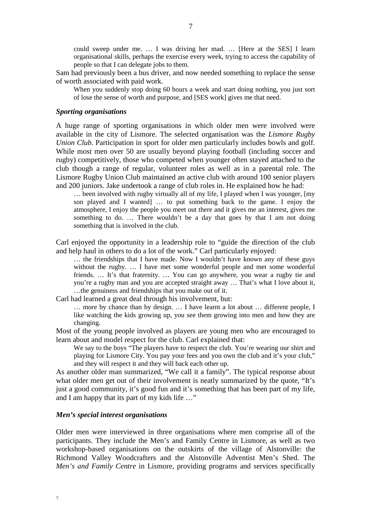could sweep under me. … I was driving her mad. … [Here at the SES] I learn organisational skills, perhaps the exercise every week, trying to access the capability of people so that I can delegate jobs to them.

Sam had previously been a bus driver, and now needed something to replace the sense of worth associated with paid work.

When you suddenly stop doing 60 hours a week and start doing nothing, you just sort of lose the sense of worth and purpose, and [SES work] gives me that need.

#### *Sporting organisations*

A huge range of sporting organisations in which older men were involved were available in the city of Lismore. The selected organisation was the *Lismore Rugby Union Club*. Participation in sport for older men particularly includes bowls and golf. While most men over 50 are usually beyond playing football (including soccer and rugby) competitively, those who competed when younger often stayed attached to the club though a range of regular, volunteer roles as well as in a parental role. The Lismore Rugby Union Club maintained an active club with around 100 senior players and 200 juniors. Jake undertook a range of club roles in. He explained how he had:

… been involved with rugby virtually all of my life, I played when I was younger, [my son played and I wanted] … to put something back to the game. I enjoy the atmosphere, I enjoy the people you meet out there and it gives me an interest, gives me something to do. ... There wouldn't be a day that goes by that I am not doing something that is involved in the club.

Carl enjoyed the opportunity in a leadership role to "guide the direction of the club and help haul in others to do a lot of the work." Carl particularly enjoyed:

… the friendships that I have made. Now I wouldn't have known any of these guys without the rugby. … I have met some wonderful people and met some wonderful friends. … It's that fraternity. … You can go anywhere, you wear a rugby tie and you're a rugby man and you are accepted straight away … That's what I love about it, …the genuiness and friendships that you make out of it.

Carl had learned a great deal through his involvement, but:

… more by chance than by design. … I have learnt a lot about … different people, I like watching the kids growing up, you see them growing into men and how they are changing.

Most of the young people involved as players are young men who are encouraged to learn about and model respect for the club. Carl explained that:

We say to the boys "The players have to respect the club. You're wearing our shirt and playing for Lismore City. You pay your fees and you own the club and it's your club," and they will respect it and they will back each other up.

As another older man summarized, "We call it a family". The typical response about what older men get out of their involvement is neatly summarized by the quote, "It's just a good community, it's good fun and it's something that has been part of my life, and I am happy that its part of my kids life …"

# *Men's special interest organisations*

Older men were interviewed in three organisations where men comprise all of the participants. They include the Men's and Family Centre in Lismore, as well as two workshop-based organisations on the outskirts of the village of Alstonville: the Richmond Valley Woodcrafters and the Alstonville Adventist Men's Shed. The *Men's and Family Centre* in Lismore, providing programs and services specifically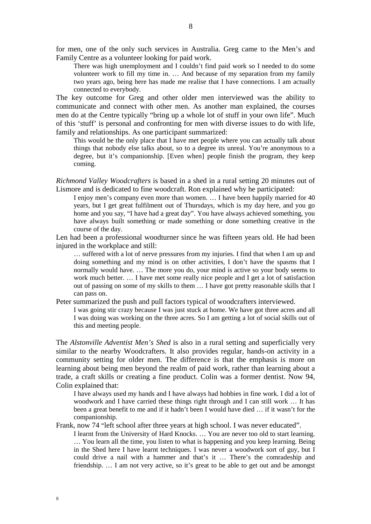for men, one of the only such services in Australia. Greg came to the Men's and Family Centre as a volunteer looking for paid work.

There was high unemployment and I couldn't find paid work so I needed to do some volunteer work to fill my time in. … And because of my separation from my family two years ago, being here has made me realise that I have connections. I am actually connected to everybody.

The key outcome for Greg and other older men interviewed was the ability to communicate and connect with other men. As another man explained, the courses men do at the Centre typically "bring up a whole lot of stuff in your own life". Much of this 'stuff' is personal and confronting for men with diverse issues to do with life, family and relationships. As one participant summarized:

This would be the only place that I have met people where you can actually talk about things that nobody else talks about, so to a degree its unreal. You're anonymous to a degree, but it's companionship. [Even when] people finish the program, they keep coming.

*Richmond Valley Woodcrafters* is based in a shed in a rural setting 20 minutes out of Lismore and is dedicated to fine woodcraft. Ron explained why he participated:

I enjoy men's company even more than women. … I have been happily married for 40 years, but I get great fulfilment out of Thursdays, which is my day here, and you go home and you say, "I have had a great day". You have always achieved something, you have always built something or made something or done something creative in the course of the day.

Len had been a professional woodturner since he was fifteen years old. He had been injured in the workplace and still:

… suffered with a lot of nerve pressures from my injuries. I find that when I am up and doing something and my mind is on other activities, I don't have the spasms that I normally would have. ... The more you do, your mind is active so your body seems to work much better. … I have met some really nice people and I get a lot of satisfaction out of passing on some of my skills to them … I have got pretty reasonable skills that I can pass on.

Peter summarized the push and pull factors typical of woodcrafters interviewed.

I was going stir crazy because I was just stuck at home. We have got three acres and all I was doing was working on the three acres. So I am getting a lot of social skills out of this and meeting people.

The *Alstonville Adventist Men's Shed* is also in a rural setting and superficially very similar to the nearby Woodcrafters. It also provides regular, hands-on activity in a community setting for older men. The difference is that the emphasis is more on learning about being men beyond the realm of paid work, rather than learning about a trade, a craft skills or creating a fine product. Colin was a former dentist. Now 94, Colin explained that:

I have always used my hands and I have always had hobbies in fine work. I did a lot of woodwork and I have carried these things right through and I can still work … It has been a great benefit to me and if it hadn't been I would have died … if it wasn't for the companionship.

Frank, now 74 "left school after three years at high school. I was never educated".

I learnt from the University of Hard Knocks. … You are never too old to start learning. … You learn all the time, you listen to what is happening and you keep learning. Being in the Shed here I have learnt techniques. I was never a woodwork sort of guy, but I could drive a nail with a hammer and that's it … There's the comradeship and friendship. … I am not very active, so it's great to be able to get out and be amongst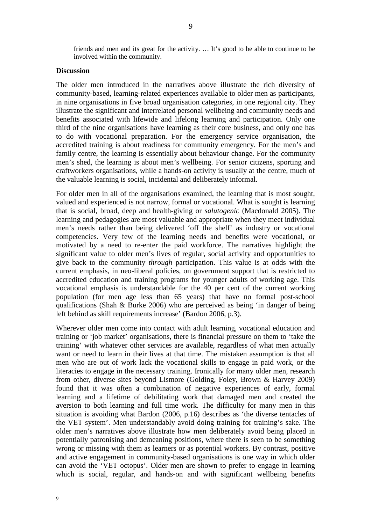friends and men and its great for the activity. … It's good to be able to continue to be involved within the community.

# **Discussion**

The older men introduced in the narratives above illustrate the rich diversity of community-based, learning-related experiences available to older men as participants, in nine organisations in five broad organisation categories, in one regional city. They illustrate the significant and interrelated personal wellbeing and community needs and benefits associated with lifewide and lifelong learning and participation. Only one third of the nine organisations have learning as their core business, and only one has to do with vocational preparation. For the emergency service organisation, the accredited training is about readiness for community emergency. For the men's and family centre, the learning is essentially about behaviour change. For the community men's shed, the learning is about men's wellbeing. For senior citizens, sporting and craftworkers organisations, while a hands-on activity is usually at the centre, much of the valuable learning is social, incidental and deliberately informal.

For older men in all of the organisations examined, the learning that is most sought, valued and experienced is not narrow, formal or vocational. What is sought is learning that is social, broad, deep and health-giving or *salutogenic* (Macdonald 2005). The learning and pedagogies are most valuable and appropriate when they meet individual men's needs rather than being delivered 'off the shelf' as industry or vocational competencies. Very few of the learning needs and benefits were vocational, or motivated by a need to re-enter the paid workforce. The narratives highlight the significant value to older men's lives of regular, social activity and opportunities to give back to the community *through* participation. This value is at odds with the current emphasis, in neo-liberal policies, on government support that is restricted to accredited education and training programs for younger adults of working age. This vocational emphasis is understandable for the 40 per cent of the current working population (for men age less than 65 years) that have no formal post-school qualifications (Shah & Burke 2006) who are perceived as being 'in danger of being left behind as skill requirements increase' (Bardon 2006, p.3).

Wherever older men come into contact with adult learning, vocational education and training or 'job market' organisations, there is financial pressure on them to 'take the training' with whatever other services are available, regardless of what men actually want or need to learn in their lives at that time. The mistaken assumption is that all men who are out of work lack the vocational skills to engage in paid work, or the literacies to engage in the necessary training. Ironically for many older men, research from other, diverse sites beyond Lismore (Golding, Foley, Brown & Harvey 2009) found that it was often a combination of negative experiences of early, formal learning and a lifetime of debilitating work that damaged men and created the aversion to both learning and full time work. The difficulty for many men in this situation is avoiding what Bardon (2006, p.16) describes as 'the diverse tentacles of the VET system'. Men understandably avoid doing training for training's sake. The older men's narratives above illustrate how men deliberately avoid being placed in potentially patronising and demeaning positions, where there is seen to be something wrong or missing with them as learners or as potential workers. By contrast, positive and active engagement in community-based organisations is one way in which older can avoid the 'VET octopus'. Older men are shown to prefer to engage in learning which is social, regular, and hands-on and with significant wellbeing benefits